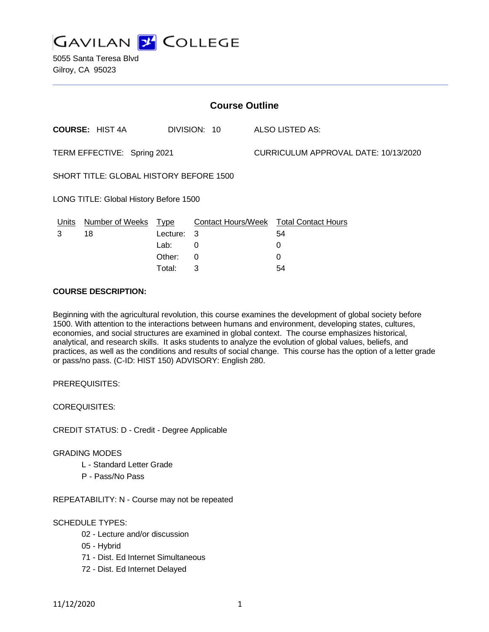**GAVILAN 2 COLLEGE** 

5055 Santa Teresa Blvd Gilroy, CA 95023

| <b>Course Outline</b>                          |                        |            |              |                                      |                                               |
|------------------------------------------------|------------------------|------------|--------------|--------------------------------------|-----------------------------------------------|
|                                                | <b>COURSE: HIST 4A</b> |            | DIVISION: 10 |                                      | ALSO LISTED AS:                               |
| TERM EFFECTIVE: Spring 2021                    |                        |            |              | CURRICULUM APPROVAL DATE: 10/13/2020 |                                               |
| <b>SHORT TITLE: GLOBAL HISTORY BEFORE 1500</b> |                        |            |              |                                      |                                               |
| LONG TITLE: Global History Before 1500         |                        |            |              |                                      |                                               |
| Units                                          | Number of Weeks Type   |            |              |                                      | <b>Contact Hours/Week Total Contact Hours</b> |
| 3                                              | 18                     | Lecture: 3 |              |                                      | 54                                            |
|                                                |                        | Lab:       | 0            |                                      | 0                                             |
|                                                |                        | Other:     | $\Omega$     |                                      | $\Omega$                                      |
|                                                |                        | Total:     | 3            |                                      | 54                                            |

### **COURSE DESCRIPTION:**

Beginning with the agricultural revolution, this course examines the development of global society before 1500. With attention to the interactions between humans and environment, developing states, cultures, economies, and social structures are examined in global context. The course emphasizes historical, analytical, and research skills. It asks students to analyze the evolution of global values, beliefs, and practices, as well as the conditions and results of social change. This course has the option of a letter grade or pass/no pass. (C-ID: HIST 150) ADVISORY: English 280.

PREREQUISITES:

COREQUISITES:

CREDIT STATUS: D - Credit - Degree Applicable

#### GRADING MODES

- L Standard Letter Grade
- P Pass/No Pass

REPEATABILITY: N - Course may not be repeated

#### SCHEDULE TYPES:

- 02 Lecture and/or discussion
- 05 Hybrid
- 71 Dist. Ed Internet Simultaneous
- 72 Dist. Ed Internet Delayed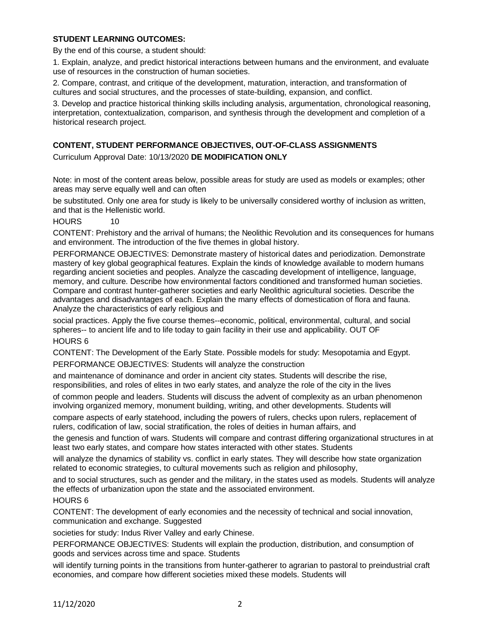# **STUDENT LEARNING OUTCOMES:**

By the end of this course, a student should:

1. Explain, analyze, and predict historical interactions between humans and the environment, and evaluate use of resources in the construction of human societies.

2. Compare, contrast, and critique of the development, maturation, interaction, and transformation of cultures and social structures, and the processes of state-building, expansion, and conflict.

3. Develop and practice historical thinking skills including analysis, argumentation, chronological reasoning, interpretation, contextualization, comparison, and synthesis through the development and completion of a historical research project.

# **CONTENT, STUDENT PERFORMANCE OBJECTIVES, OUT-OF-CLASS ASSIGNMENTS**

Curriculum Approval Date: 10/13/2020 **DE MODIFICATION ONLY**

Note: in most of the content areas below, possible areas for study are used as models or examples; other areas may serve equally well and can often

be substituted. Only one area for study is likely to be universally considered worthy of inclusion as written, and that is the Hellenistic world.

# HOURS 10

CONTENT: Prehistory and the arrival of humans; the Neolithic Revolution and its consequences for humans and environment. The introduction of the five themes in global history.

PERFORMANCE OBJECTIVES: Demonstrate mastery of historical dates and periodization. Demonstrate mastery of key global geographical features. Explain the kinds of knowledge available to modern humans regarding ancient societies and peoples. Analyze the cascading development of intelligence, language, memory, and culture. Describe how environmental factors conditioned and transformed human societies. Compare and contrast hunter-gatherer societies and early Neolithic agricultural societies. Describe the advantages and disadvantages of each. Explain the many effects of domestication of flora and fauna. Analyze the characteristics of early religious and

social practices. Apply the five course themes--economic, political, environmental, cultural, and social spheres-- to ancient life and to life today to gain facility in their use and applicability. OUT OF HOURS 6

CONTENT: The Development of the Early State. Possible models for study: Mesopotamia and Egypt.

PERFORMANCE OBJECTIVES: Students will analyze the construction

and maintenance of dominance and order in ancient city states. Students will describe the rise, responsibilities, and roles of elites in two early states, and analyze the role of the city in the lives

of common people and leaders. Students will discuss the advent of complexity as an urban phenomenon involving organized memory, monument building, writing, and other developments. Students will

compare aspects of early statehood, including the powers of rulers, checks upon rulers, replacement of rulers, codification of law, social stratification, the roles of deities in human affairs, and

the genesis and function of wars. Students will compare and contrast differing organizational structures in at least two early states, and compare how states interacted with other states. Students

will analyze the dynamics of stability vs. conflict in early states. They will describe how state organization related to economic strategies, to cultural movements such as religion and philosophy,

and to social structures, such as gender and the military, in the states used as models. Students will analyze the effects of urbanization upon the state and the associated environment.

# HOURS 6

CONTENT: The development of early economies and the necessity of technical and social innovation, communication and exchange. Suggested

societies for study: Indus River Valley and early Chinese.

PERFORMANCE OBJECTIVES: Students will explain the production, distribution, and consumption of goods and services across time and space. Students

will identify turning points in the transitions from hunter-gatherer to agrarian to pastoral to preindustrial craft economies, and compare how different societies mixed these models. Students will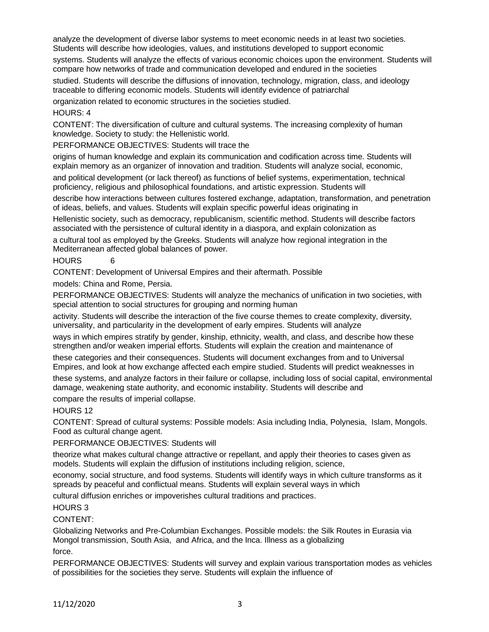analyze the development of diverse labor systems to meet economic needs in at least two societies. Students will describe how ideologies, values, and institutions developed to support economic

systems. Students will analyze the effects of various economic choices upon the environment. Students will compare how networks of trade and communication developed and endured in the societies

studied. Students will describe the diffusions of innovation, technology, migration, class, and ideology traceable to differing economic models. Students will identify evidence of patriarchal

organization related to economic structures in the societies studied.

# HOURS: 4

CONTENT: The diversification of culture and cultural systems. The increasing complexity of human knowledge. Society to study: the Hellenistic world.

PERFORMANCE OBJECTIVES: Students will trace the

origins of human knowledge and explain its communication and codification across time. Students will explain memory as an organizer of innovation and tradition. Students will analyze social, economic,

and political development (or lack thereof) as functions of belief systems, experimentation, technical proficiency, religious and philosophical foundations, and artistic expression. Students will

describe how interactions between cultures fostered exchange, adaptation, transformation, and penetration of ideas, beliefs, and values. Students will explain specific powerful ideas originating in

Hellenistic society, such as democracy, republicanism, scientific method. Students will describe factors associated with the persistence of cultural identity in a diaspora, and explain colonization as

a cultural tool as employed by the Greeks. Students will analyze how regional integration in the Mediterranean affected global balances of power.

### HOURS 6

CONTENT: Development of Universal Empires and their aftermath. Possible

models: China and Rome, Persia.

PERFORMANCE OBJECTIVES: Students will analyze the mechanics of unification in two societies, with special attention to social structures for grouping and norming human

activity. Students will describe the interaction of the five course themes to create complexity, diversity, universality, and particularity in the development of early empires. Students will analyze

ways in which empires stratify by gender, kinship, ethnicity, wealth, and class, and describe how these strengthen and/or weaken imperial efforts. Students will explain the creation and maintenance of

these categories and their consequences. Students will document exchanges from and to Universal Empires, and look at how exchange affected each empire studied. Students will predict weaknesses in

these systems, and analyze factors in their failure or collapse, including loss of social capital, environmental damage, weakening state authority, and economic instability. Students will describe and

compare the results of imperial collapse.

HOURS 12

CONTENT: Spread of cultural systems: Possible models: Asia including India, Polynesia, Islam, Mongols. Food as cultural change agent.

PERFORMANCE OBJECTIVES: Students will

theorize what makes cultural change attractive or repellant, and apply their theories to cases given as models. Students will explain the diffusion of institutions including religion, science,

economy, social structure, and food systems. Students will identify ways in which culture transforms as it spreads by peaceful and conflictual means. Students will explain several ways in which

cultural diffusion enriches or impoverishes cultural traditions and practices.

# HOURS 3

CONTENT:

Globalizing Networks and Pre-Columbian Exchanges. Possible models: the Silk Routes in Eurasia via Mongol transmission, South Asia, and Africa, and the Inca. Illness as a globalizing force.

PERFORMANCE OBJECTIVES: Students will survey and explain various transportation modes as vehicles of possibilities for the societies they serve. Students will explain the influence of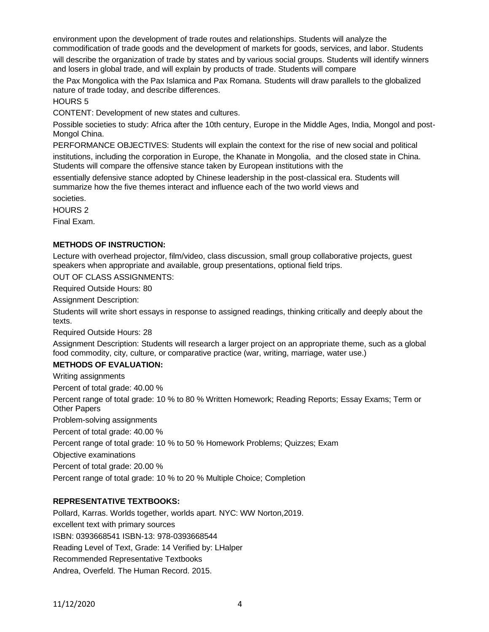environment upon the development of trade routes and relationships. Students will analyze the commodification of trade goods and the development of markets for goods, services, and labor. Students

will describe the organization of trade by states and by various social groups. Students will identify winners and losers in global trade, and will explain by products of trade. Students will compare

the Pax Mongolica with the Pax Islamica and Pax Romana. Students will draw parallels to the globalized nature of trade today, and describe differences.

HOURS 5

CONTENT: Development of new states and cultures.

Possible societies to study: Africa after the 10th century, Europe in the Middle Ages, India, Mongol and post-Mongol China.

PERFORMANCE OBJECTIVES: Students will explain the context for the rise of new social and political

institutions, including the corporation in Europe, the Khanate in Mongolia, and the closed state in China. Students will compare the offensive stance taken by European institutions with the

essentially defensive stance adopted by Chinese leadership in the post-classical era. Students will summarize how the five themes interact and influence each of the two world views and societies.

HOURS 2

Final Exam.

### **METHODS OF INSTRUCTION:**

Lecture with overhead projector, film/video, class discussion, small group collaborative projects, guest speakers when appropriate and available, group presentations, optional field trips.

OUT OF CLASS ASSIGNMENTS:

Required Outside Hours: 80

Assignment Description:

Students will write short essays in response to assigned readings, thinking critically and deeply about the texts.

Required Outside Hours: 28

Assignment Description: Students will research a larger project on an appropriate theme, such as a global food commodity, city, culture, or comparative practice (war, writing, marriage, water use.)

# **METHODS OF EVALUATION:**

Writing assignments

Percent of total grade: 40.00 %

Percent range of total grade: 10 % to 80 % Written Homework; Reading Reports; Essay Exams; Term or Other Papers

Problem-solving assignments

Percent of total grade: 40.00 %

Percent range of total grade: 10 % to 50 % Homework Problems; Quizzes; Exam

Objective examinations

Percent of total grade: 20.00 %

Percent range of total grade: 10 % to 20 % Multiple Choice; Completion

# **REPRESENTATIVE TEXTBOOKS:**

Pollard, Karras. Worlds together, worlds apart. NYC: WW Norton,2019. excellent text with primary sources ISBN: 0393668541 ISBN-13: 978-0393668544 Reading Level of Text, Grade: 14 Verified by: LHalper Recommended Representative Textbooks Andrea, Overfeld. The Human Record. 2015.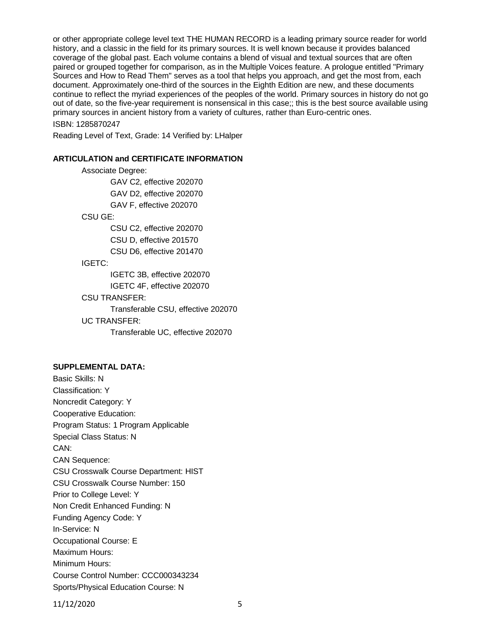or other appropriate college level text THE HUMAN RECORD is a leading primary source reader for world history, and a classic in the field for its primary sources. It is well known because it provides balanced coverage of the global past. Each volume contains a blend of visual and textual sources that are often paired or grouped together for comparison, as in the Multiple Voices feature. A prologue entitled "Primary Sources and How to Read Them" serves as a tool that helps you approach, and get the most from, each document. Approximately one-third of the sources in the Eighth Edition are new, and these documents continue to reflect the myriad experiences of the peoples of the world. Primary sources in history do not go out of date, so the five-year requirement is nonsensical in this case;; this is the best source available using primary sources in ancient history from a variety of cultures, rather than Euro-centric ones.

ISBN: 1285870247

Reading Level of Text, Grade: 14 Verified by: LHalper

#### **ARTICULATION and CERTIFICATE INFORMATION**

Associate Degree: GAV C2, effective 202070 GAV D2, effective 202070 GAV F, effective 202070 CSU GE: CSU C2, effective 202070 CSU D, effective 201570 CSU D6, effective 201470 IGETC: IGETC 3B, effective 202070 IGETC 4F, effective 202070 CSU TRANSFER: Transferable CSU, effective 202070 UC TRANSFER: Transferable UC, effective 202070

#### **SUPPLEMENTAL DATA:**

Basic Skills: N Classification: Y Noncredit Category: Y Cooperative Education: Program Status: 1 Program Applicable Special Class Status: N CAN: CAN Sequence: CSU Crosswalk Course Department: HIST CSU Crosswalk Course Number: 150 Prior to College Level: Y Non Credit Enhanced Funding: N Funding Agency Code: Y In-Service: N Occupational Course: E Maximum Hours: Minimum Hours: Course Control Number: CCC000343234 Sports/Physical Education Course: N